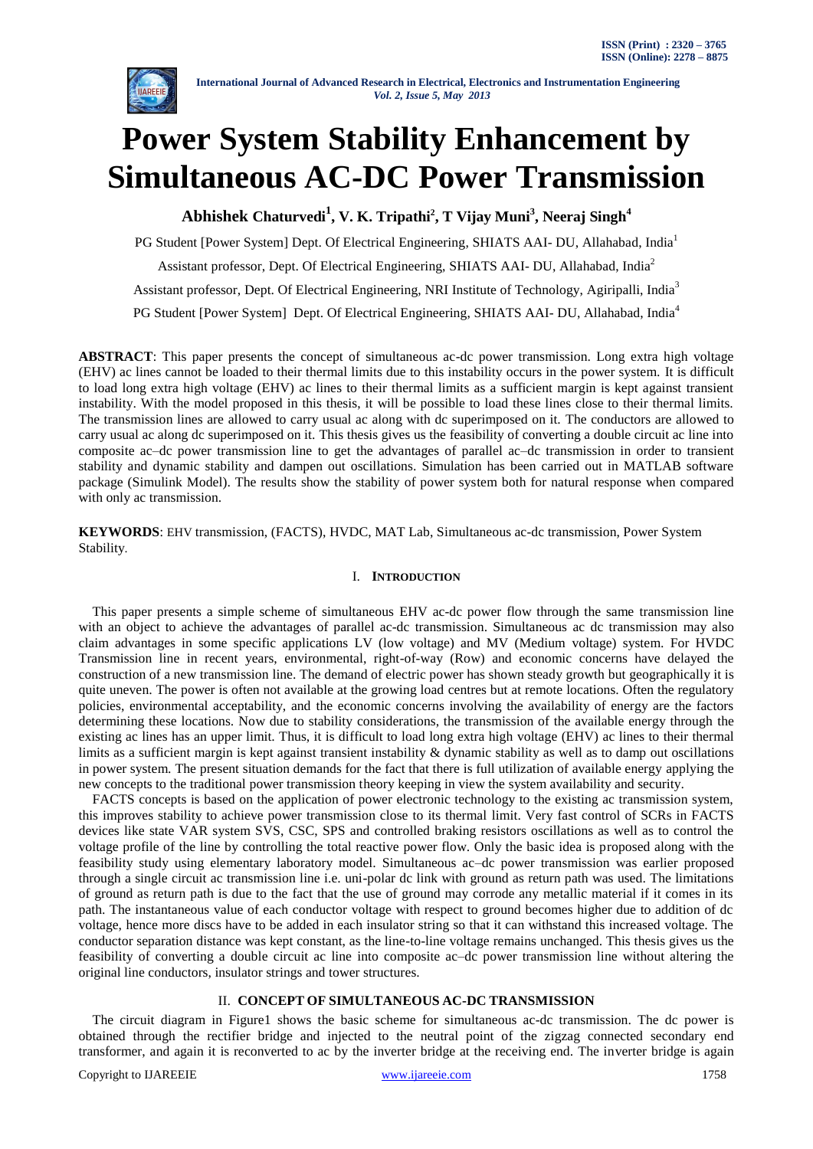

# **Power System Stability Enhancement by Simultaneous AC-DC Power Transmission**

**Abhishek Chaturvedi<sup>1</sup> , V. K. Tripathi<sup>2</sup> , T Vijay Muni<sup>3</sup> , Neeraj Singh<sup>4</sup>**

PG Student [Power System] Dept. Of Electrical Engineering, SHIATS AAI- DU, Allahabad, India<sup>1</sup> Assistant professor, Dept. Of Electrical Engineering, SHIATS AAI- DU, Allahabad, India<sup>2</sup> Assistant professor, Dept. Of Electrical Engineering, NRI Institute of Technology, Agiripalli, India<sup>3</sup> PG Student [Power System] Dept. Of Electrical Engineering, SHIATS AAI- DU, Allahabad, India<sup>4</sup>

**ABSTRACT**: This paper presents the concept of simultaneous ac-dc power transmission. Long extra high voltage (EHV) ac lines cannot be loaded to their thermal limits due to this instability occurs in the power system. It is difficult to load long extra high voltage (EHV) ac lines to their thermal limits as a sufficient margin is kept against transient instability. With the model proposed in this thesis, it will be possible to load these lines close to their thermal limits. The transmission lines are allowed to carry usual ac along with dc superimposed on it. The conductors are allowed to carry usual ac along dc superimposed on it. This thesis gives us the feasibility of converting a double circuit ac line into composite ac–dc power transmission line to get the advantages of parallel ac–dc transmission in order to transient stability and dynamic stability and dampen out oscillations. Simulation has been carried out in MATLAB software package (Simulink Model). The results show the stability of power system both for natural response when compared with only ac transmission.

**KEYWORDS**: EHV transmission, (FACTS), HVDC, MAT Lab, Simultaneous ac-dc transmission, Power System Stability.

# I. **INTRODUCTION**

 This paper presents a simple scheme of simultaneous EHV ac-dc power flow through the same transmission line with an object to achieve the advantages of parallel ac-dc transmission. Simultaneous ac dc transmission may also claim advantages in some specific applications LV (low voltage) and MV (Medium voltage) system. For HVDC Transmission line in recent years, environmental, right-of-way (Row) and economic concerns have delayed the construction of a new transmission line. The demand of electric power has shown steady growth but geographically it is quite uneven. The power is often not available at the growing load centres but at remote locations. Often the regulatory policies, environmental acceptability, and the economic concerns involving the availability of energy are the factors determining these locations. Now due to stability considerations, the transmission of the available energy through the existing ac lines has an upper limit. Thus, it is difficult to load long extra high voltage (EHV) ac lines to their thermal limits as a sufficient margin is kept against transient instability & dynamic stability as well as to damp out oscillations in power system. The present situation demands for the fact that there is full utilization of available energy applying the new concepts to the traditional power transmission theory keeping in view the system availability and security.

 FACTS concepts is based on the application of power electronic technology to the existing ac transmission system, this improves stability to achieve power transmission close to its thermal limit. Very fast control of SCRs in FACTS devices like state VAR system SVS, CSC, SPS and controlled braking resistors oscillations as well as to control the voltage profile of the line by controlling the total reactive power flow. Only the basic idea is proposed along with the feasibility study using elementary laboratory model. Simultaneous ac–dc power transmission was earlier proposed through a single circuit ac transmission line i.e. uni-polar dc link with ground as return path was used. The limitations of ground as return path is due to the fact that the use of ground may corrode any metallic material if it comes in its path. The instantaneous value of each conductor voltage with respect to ground becomes higher due to addition of dc voltage, hence more discs have to be added in each insulator string so that it can withstand this increased voltage. The conductor separation distance was kept constant, as the line-to-line voltage remains unchanged. This thesis gives us the feasibility of converting a double circuit ac line into composite ac–dc power transmission line without altering the original line conductors, insulator strings and tower structures.

# II. **CONCEPT OF SIMULTANEOUS AC-DC TRANSMISSION**

 The circuit diagram in Figure1 shows the basic scheme for simultaneous ac-dc transmission. The dc power is obtained through the rectifier bridge and injected to the neutral point of the zigzag connected secondary end transformer, and again it is reconverted to ac by the inverter bridge at the receiving end. The inverter bridge is again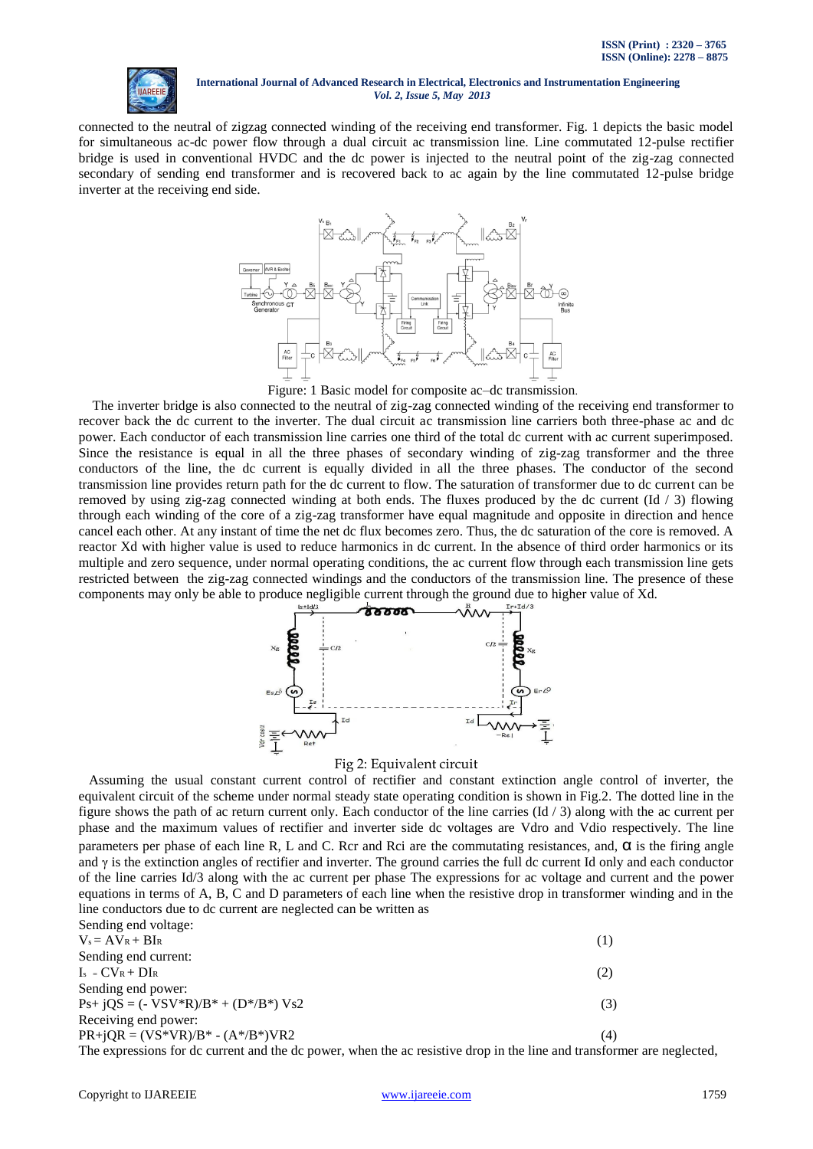

connected to the neutral of zigzag connected winding of the receiving end transformer. Fig. 1 depicts the basic model for simultaneous ac-dc power flow through a dual circuit ac transmission line. Line commutated 12-pulse rectifier bridge is used in conventional HVDC and the dc power is injected to the neutral point of the zig-zag connected secondary of sending end transformer and is recovered back to ac again by the line commutated 12-pulse bridge inverter at the receiving end side.



Figure: 1 Basic model for composite ac–dc transmission.

 The inverter bridge is also connected to the neutral of zig-zag connected winding of the receiving end transformer to recover back the dc current to the inverter. The dual circuit ac transmission line carriers both three-phase ac and dc power. Each conductor of each transmission line carries one third of the total dc current with ac current superimposed. Since the resistance is equal in all the three phases of secondary winding of zig-zag transformer and the three conductors of the line, the dc current is equally divided in all the three phases. The conductor of the second transmission line provides return path for the dc current to flow. The saturation of transformer due to dc current can be removed by using zig-zag connected winding at both ends. The fluxes produced by the dc current  $(\text{Id}/3)$  flowing through each winding of the core of a zig-zag transformer have equal magnitude and opposite in direction and hence cancel each other. At any instant of time the net dc flux becomes zero. Thus, the dc saturation of the core is removed. A reactor Xd with higher value is used to reduce harmonics in dc current. In the absence of third order harmonics or its multiple and zero sequence, under normal operating conditions, the ac current flow through each transmission line gets restricted between the zig-zag connected windings and the conductors of the transmission line. The presence of these components may only be able to produce negligible current through the ground due to higher value of Xd.



#### Fig 2: Equivalent circuit

 Assuming the usual constant current control of rectifier and constant extinction angle control of inverter, the equivalent circuit of the scheme under normal steady state operating condition is shown in Fig.2. The dotted line in the figure shows the path of ac return current only. Each conductor of the line carries  $(\text{Id}/3)$  along with the ac current per phase and the maximum values of rectifier and inverter side dc voltages are Vdro and Vdio respectively. The line parameters per phase of each line R, L and C. Rcr and Rci are the commutating resistances, and,  $\alpha$  is the firing angle and γ is the extinction angles of rectifier and inverter. The ground carries the full dc current Id only and each conductor of the line carries Id/3 along with the ac current per phase The expressions for ac voltage and current and the power equations in terms of A, B, C and D parameters of each line when the resistive drop in transformer winding and in the line conductors due to dc current are neglected can be written as Sending and voltage:

| DURING UR VORGEU.                                                                                      |     |
|--------------------------------------------------------------------------------------------------------|-----|
| $V_s = AV_R + BI_R$                                                                                    |     |
| Sending end current:                                                                                   |     |
| $I_s = CV_R + DI_R$                                                                                    |     |
| Sending end power:                                                                                     |     |
| $Ps + jQS = (-VSV'R)/B^* + (D*/B^*) Vs2$                                                               | (3) |
| Receiving end power:                                                                                   |     |
| $PR+jQR = (VS*VR)/B* - (A*/B*)VR2$                                                                     | (4) |
| The expressions for do current and the do nower, when the ac resistive drop in the line and transforme |     |

wer, when the ac resistive drop in the line and transformer are neglected,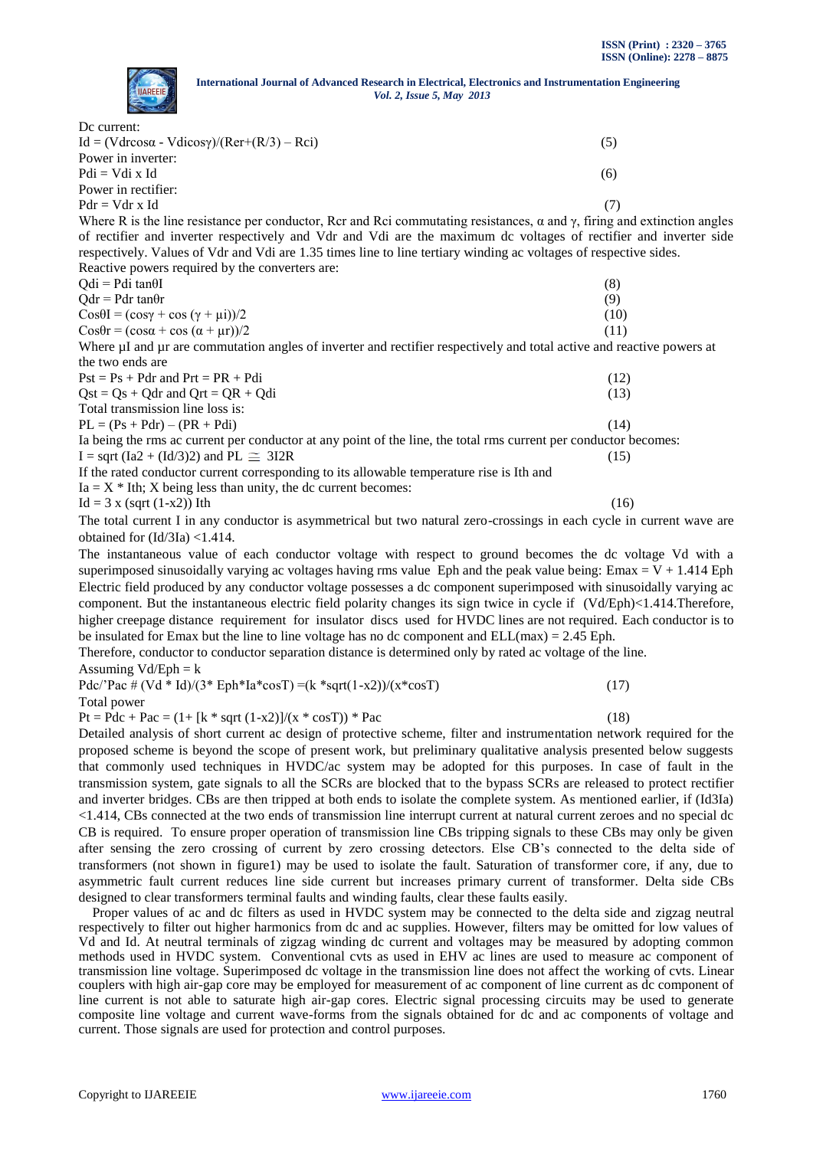

 $Pdi = Vdi \times Id$  (6)

Power in rectifier:  $Pdr = Vdr \times Id$  (7) Where R is the line resistance per conductor, Rcr and Rci commutating resistances,  $\alpha$  and  $\gamma$ , firing and extinction angles of rectifier and inverter respectively and Vdr and Vdi are the maximum dc voltages of rectifier and inverter side respectively. Values of Vdr and Vdi are 1.35 times line to line tertiary winding ac voltages of respective sides. Reactive powers required by the converters are:  $\text{Odi} = \text{Pdi} \tan \theta \tag{8}$  $Qdr = Pdr \tanh(r)$  (9)  $\cos\theta I = (\cos\gamma + \cos(\gamma + \mu i))/2$  (10)  $\cos\theta r = (\cos\alpha + \cos(\alpha + \mu r))/2$  (11) Where µI and µr are commutation angles of inverter and rectifier respectively and total active and reactive powers at the two ends are

| $Pst = Ps + Pdr$ and $Prt = PR + Pdi$                                                                            | (12) |
|------------------------------------------------------------------------------------------------------------------|------|
| $Qst = Qs + Qdr$ and $Qrt = QR + Qdi$                                                                            | (13) |
| Total transmission line loss is:                                                                                 |      |
| $PL = (Ps + Pdr) - (PR + Pdi)$                                                                                   | (14) |
| Ia being the rms ac current per conductor at any point of the line, the total rms current per conductor becomes: |      |
| I = sqrt (Ia2 + (Id/3)2) and PL $\cong$ 3I2R                                                                     | (15) |
| If the rated conductor current corresponding to its allowable temperature rise is Ith and                        |      |
| $Ia = X * Ith$ ; X being less than unity, the dc current becomes:                                                |      |
| $Id = 3 x$ (sart $(1-x2)$ ) Ith                                                                                  | (16) |

The total current I in any conductor is asymmetrical but two natural zero-crossings in each cycle in current wave are obtained for (Id/3Ia) <1.414.

The instantaneous value of each conductor voltage with respect to ground becomes the dc voltage Vd with a superimposed sinusoidally varying ac voltages having rms value Eph and the peak value being: Emax  $= V + 1.414$  Eph Electric field produced by any conductor voltage possesses a dc component superimposed with sinusoidally varying ac component. But the instantaneous electric field polarity changes its sign twice in cycle if (Vd/Eph)<1.414.Therefore, higher creepage distance requirement for insulator discs used for HVDC lines are not required. Each conductor is to be insulated for Emax but the line to line voltage has no dc component and ELL(max) = 2.45 Eph.

Therefore, conductor to conductor separation distance is determined only by rated ac voltage of the line. Assuming  $Vd/Eph = k$ 

 $Pdc/'Pac \neq (Vd * Id)/(3* Eph * Ia * cos T) = (k * sqrt(1-x2))/(x * cos T)$  (17)

Total power

 $Pt = Pdc + Pac = (1 + [k * sqrt (1-x2)]/(x * cosT)) * Pac$  (18)

Detailed analysis of short current ac design of protective scheme, filter and instrumentation network required for the proposed scheme is beyond the scope of present work, but preliminary qualitative analysis presented below suggests that commonly used techniques in HVDC/ac system may be adopted for this purposes. In case of fault in the transmission system, gate signals to all the SCRs are blocked that to the bypass SCRs are released to protect rectifier and inverter bridges. CBs are then tripped at both ends to isolate the complete system. As mentioned earlier, if (Id3Ia) <1.414, CBs connected at the two ends of transmission line interrupt current at natural current zeroes and no special dc CB is required. To ensure proper operation of transmission line CBs tripping signals to these CBs may only be given after sensing the zero crossing of current by zero crossing detectors. Else CB's connected to the delta side of transformers (not shown in figure1) may be used to isolate the fault. Saturation of transformer core, if any, due to asymmetric fault current reduces line side current but increases primary current of transformer. Delta side CBs designed to clear transformers terminal faults and winding faults, clear these faults easily.

Proper values of ac and dc filters as used in HVDC system may be connected to the delta side and zigzag neutral respectively to filter out higher harmonics from dc and ac supplies. However, filters may be omitted for low values of Vd and Id. At neutral terminals of zigzag winding dc current and voltages may be measured by adopting common methods used in HVDC system. Conventional cvts as used in EHV ac lines are used to measure ac component of transmission line voltage. Superimposed dc voltage in the transmission line does not affect the working of cvts. Linear couplers with high air-gap core may be employed for measurement of ac component of line current as dc component of line current is not able to saturate high air-gap cores. Electric signal processing circuits may be used to generate composite line voltage and current wave-forms from the signals obtained for dc and ac components of voltage and current. Those signals are used for protection and control purposes.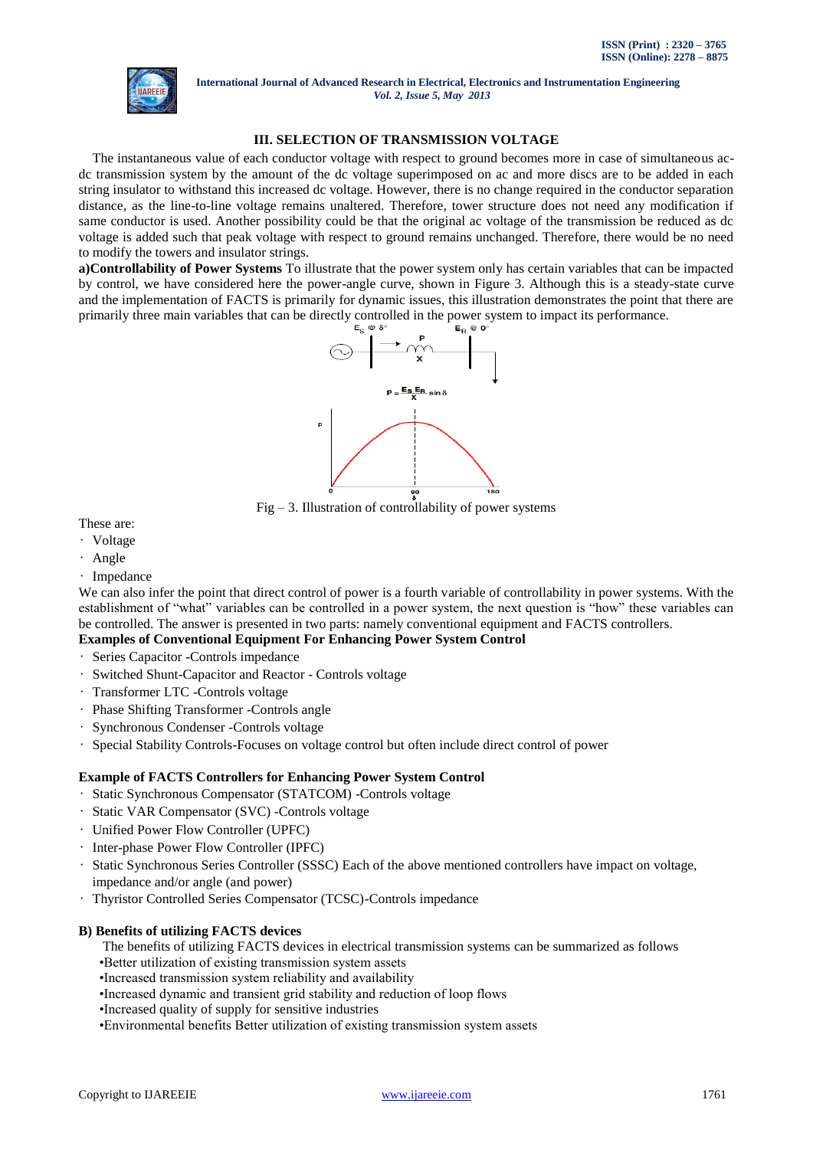

# **III. SELECTION OF TRANSMISSION VOLTAGE**

 The instantaneous value of each conductor voltage with respect to ground becomes more in case of simultaneous acdc transmission system by the amount of the dc voltage superimposed on ac and more discs are to be added in each string insulator to withstand this increased dc voltage. However, there is no change required in the conductor separation distance, as the line-to-line voltage remains unaltered. Therefore, tower structure does not need any modification if same conductor is used. Another possibility could be that the original ac voltage of the transmission be reduced as dc voltage is added such that peak voltage with respect to ground remains unchanged. Therefore, there would be no need to modify the towers and insulator strings.

**a)Controllability of Power Systems** To illustrate that the power system only has certain variables that can be impacted by control, we have considered here the power-angle curve, shown in Figure 3. Although this is a steady-state curve and the implementation of FACTS is primarily for dynamic issues, this illustration demonstrates the point that there are primarily three main variables that can be directly controlled in the power system to impact its performance.



 $Fig - 3$ . Illustration of controllability of power systems

These are:

- Voltage
- Angle
- Impedance

We can also infer the point that direct control of power is a fourth variable of controllability in power systems. With the establishment of "what" variables can be controlled in a power system, the next question is "how" these variables can be controlled. The answer is presented in two parts: namely conventional equipment and FACTS controllers.

# **Examples of Conventional Equipment For Enhancing Power System Control**

- Series Capacitor -Controls impedance
- Switched Shunt-Capacitor and Reactor Controls voltage
- Transformer LTC -Controls voltage
- Phase Shifting Transformer -Controls angle
- Synchronous Condenser -Controls voltage
- Special Stability Controls-Focuses on voltage control but often include direct control of power

# **Example of FACTS Controllers for Enhancing Power System Control**

- Static Synchronous Compensator (STATCOM) -Controls voltage
- Static VAR Compensator (SVC) -Controls voltage
- Unified Power Flow Controller (UPFC)
- Inter-phase Power Flow Controller (IPFC)
- Static Synchronous Series Controller (SSSC) Each of the above mentioned controllers have impact on voltage, impedance and/or angle (and power)
- Thyristor Controlled Series Compensator (TCSC)-Controls impedance

# **B) Benefits of utilizing FACTS devices**

The benefits of utilizing FACTS devices in electrical transmission systems can be summarized as follows

- •Better utilization of existing transmission system assets
- •Increased transmission system reliability and availability
- •Increased dynamic and transient grid stability and reduction of loop flows
- •Increased quality of supply for sensitive industries
- •Environmental benefits Better utilization of existing transmission system assets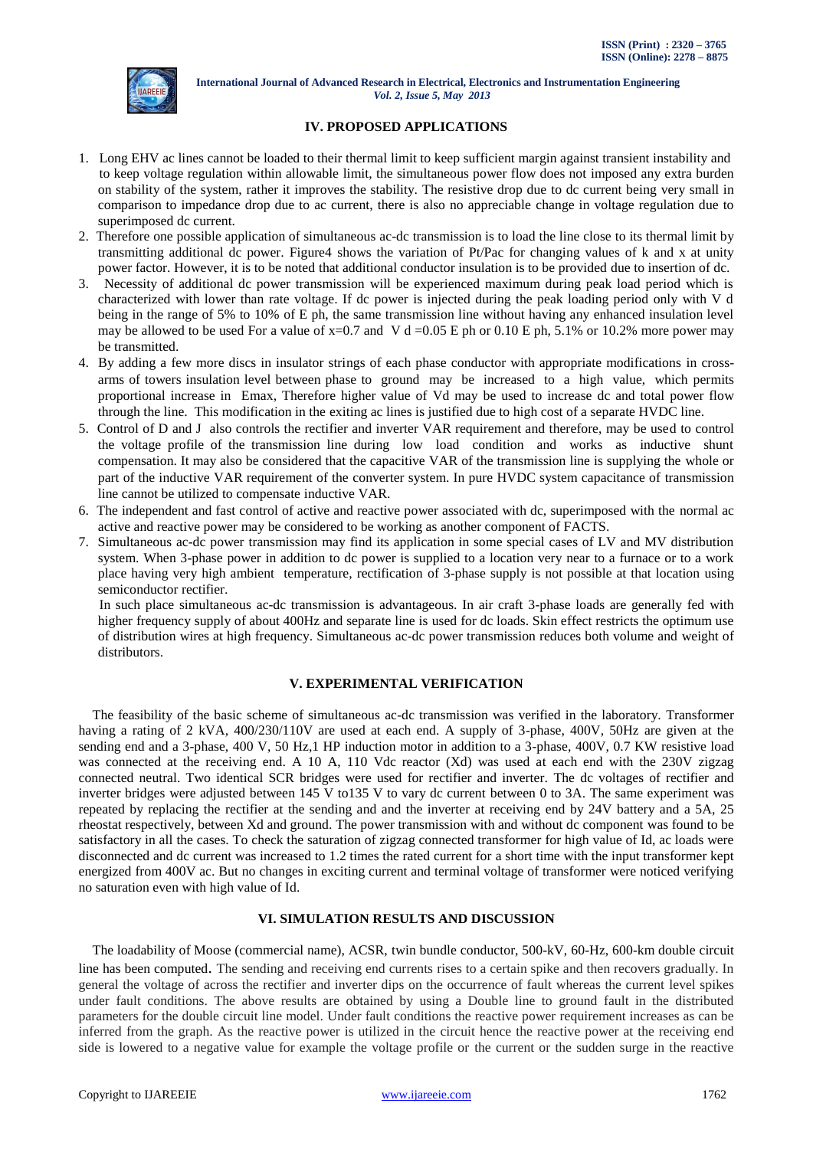

# **IV. PROPOSED APPLICATIONS**

- 1. Long EHV ac lines cannot be loaded to their thermal limit to keep sufficient margin against transient instability and to keep voltage regulation within allowable limit, the simultaneous power flow does not imposed any extra burden on stability of the system, rather it improves the stability. The resistive drop due to dc current being very small in comparison to impedance drop due to ac current, there is also no appreciable change in voltage regulation due to superimposed dc current.
- 2. Therefore one possible application of simultaneous ac-dc transmission is to load the line close to its thermal limit by transmitting additional dc power. Figure4 shows the variation of Pt/Pac for changing values of k and x at unity power factor. However, it is to be noted that additional conductor insulation is to be provided due to insertion of dc.
- 3. Necessity of additional dc power transmission will be experienced maximum during peak load period which is characterized with lower than rate voltage. If dc power is injected during the peak loading period only with V d being in the range of 5% to 10% of E ph, the same transmission line without having any enhanced insulation level may be allowed to be used For a value of  $x=0.7$  and V d =0.05 E ph or 0.10 E ph, 5.1% or 10.2% more power may be transmitted.
- 4. By adding a few more discs in insulator strings of each phase conductor with appropriate modifications in crossarms of towers insulation level between phase to ground may be increased to a high value, which permits proportional increase in Emax, Therefore higher value of Vd may be used to increase dc and total power flow through the line. This modification in the exiting ac lines is justified due to high cost of a separate HVDC line.
- 5. Control of D and J also controls the rectifier and inverter VAR requirement and therefore, may be used to control the voltage profile of the transmission line during low load condition and works as inductive shunt compensation. It may also be considered that the capacitive VAR of the transmission line is supplying the whole or part of the inductive VAR requirement of the converter system. In pure HVDC system capacitance of transmission line cannot be utilized to compensate inductive VAR.
- 6. The independent and fast control of active and reactive power associated with dc, superimposed with the normal ac active and reactive power may be considered to be working as another component of FACTS.
- 7. Simultaneous ac-dc power transmission may find its application in some special cases of LV and MV distribution system. When 3-phase power in addition to dc power is supplied to a location very near to a furnace or to a work place having very high ambient temperature, rectification of 3-phase supply is not possible at that location using semiconductor rectifier.

 In such place simultaneous ac-dc transmission is advantageous. In air craft 3-phase loads are generally fed with higher frequency supply of about 400Hz and separate line is used for dc loads. Skin effect restricts the optimum use of distribution wires at high frequency. Simultaneous ac-dc power transmission reduces both volume and weight of distributors.

# **V. EXPERIMENTAL VERIFICATION**

 The feasibility of the basic scheme of simultaneous ac-dc transmission was verified in the laboratory. Transformer having a rating of 2 kVA, 400/230/110V are used at each end. A supply of 3-phase, 400V, 50Hz are given at the sending end and a 3-phase, 400 V, 50 Hz,1 HP induction motor in addition to a 3-phase, 400V, 0.7 KW resistive load was connected at the receiving end. A 10 A, 110 Vdc reactor (Xd) was used at each end with the 230V zigzag connected neutral. Two identical SCR bridges were used for rectifier and inverter. The dc voltages of rectifier and inverter bridges were adjusted between 145 V to135 V to vary dc current between 0 to 3A. The same experiment was repeated by replacing the rectifier at the sending and and the inverter at receiving end by 24V battery and a 5A, 25 rheostat respectively, between Xd and ground. The power transmission with and without dc component was found to be satisfactory in all the cases. To check the saturation of zigzag connected transformer for high value of Id, ac loads were disconnected and dc current was increased to 1.2 times the rated current for a short time with the input transformer kept energized from 400V ac. But no changes in exciting current and terminal voltage of transformer were noticed verifying no saturation even with high value of Id.

# **VI. SIMULATION RESULTS AND DISCUSSION**

 The loadability of Moose (commercial name), ACSR, twin bundle conductor, 500-kV, 60-Hz, 600-km double circuit line has been computed. The sending and receiving end currents rises to a certain spike and then recovers gradually. In general the voltage of across the rectifier and inverter dips on the occurrence of fault whereas the current level spikes under fault conditions. The above results are obtained by using a Double line to ground fault in the distributed parameters for the double circuit line model. Under fault conditions the reactive power requirement increases as can be inferred from the graph. As the reactive power is utilized in the circuit hence the reactive power at the receiving end side is lowered to a negative value for example the voltage profile or the current or the sudden surge in the reactive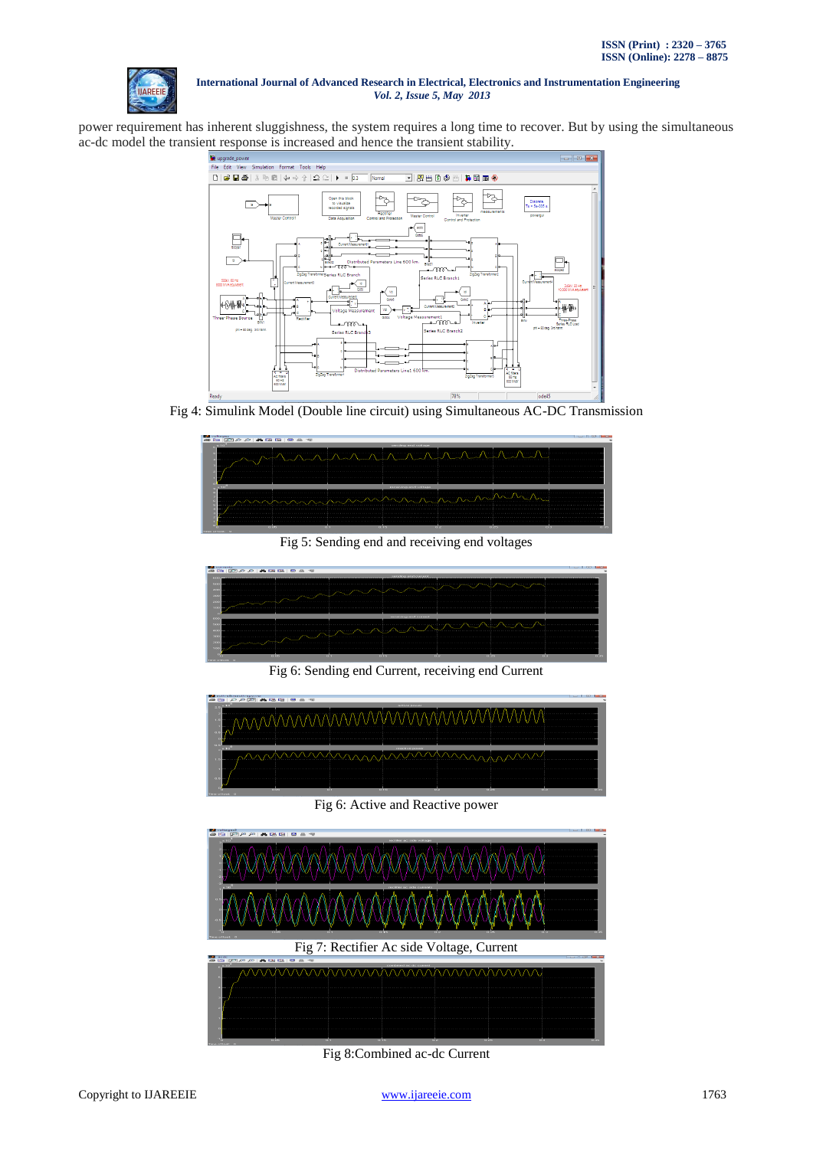

power requirement has inherent sluggishness, the system requires a long time to recover. But by using the simultaneous ac-dc model the transient response is increased and hence the transient stability.



Fig 4: Simulink Model (Double line circuit) using Simultaneous AC-DC Transmission



Fig 5: Sending end and receiving end voltages



Fig 6: Sending end Current, receiving end Current



Fig 6: Active and Reactive power



Fig 8:Combined ac-dc Current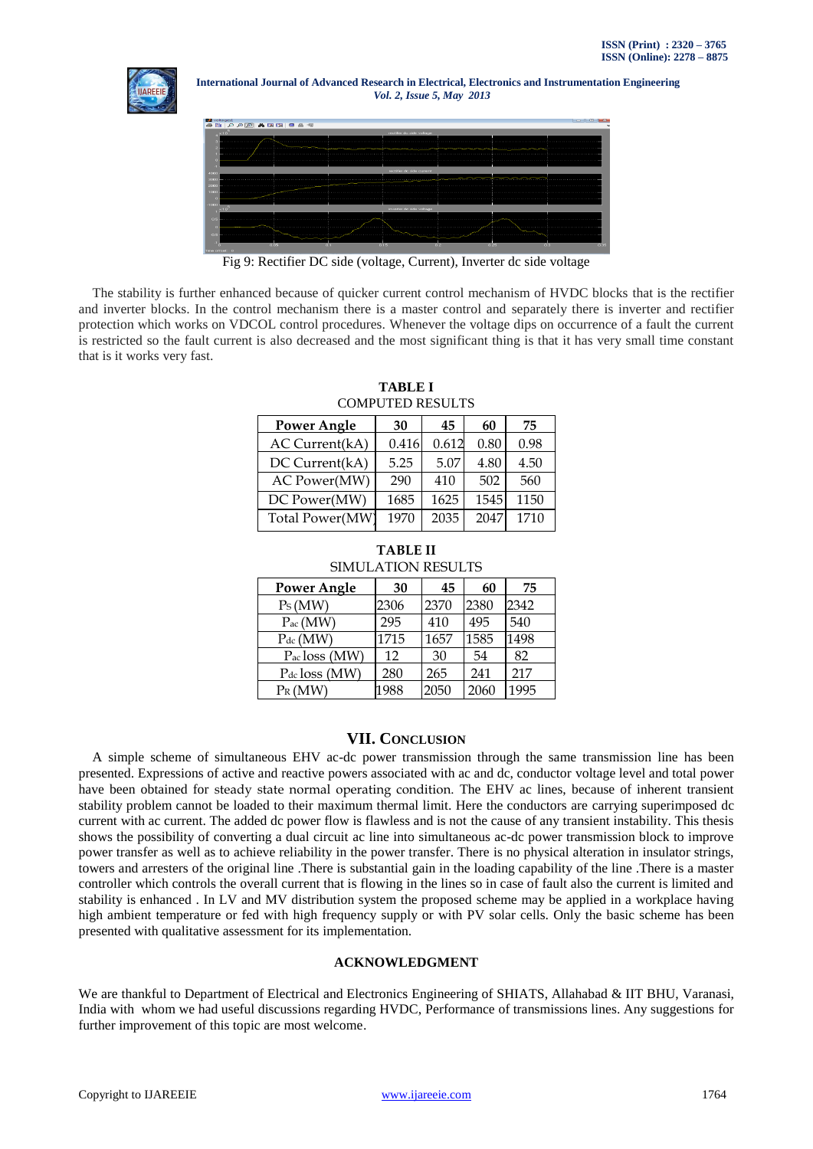



Fig 9: Rectifier DC side (voltage, Current), Inverter dc side voltage

 The stability is further enhanced because of quicker current control mechanism of HVDC blocks that is the rectifier and inverter blocks. In the control mechanism there is a master control and separately there is inverter and rectifier protection which works on VDCOL control procedures. Whenever the voltage dips on occurrence of a fault the current is restricted so the fault current is also decreased and the most significant thing is that it has very small time constant that is it works very fast.

| <b>Power Angle</b> | 30    | 45    | 60   | 75   |
|--------------------|-------|-------|------|------|
| AC Current(kA)     | 0.416 | 0.612 | 0.80 | 0.98 |
| DC Current(kA)     | 5.25  | 5.07  | 4.80 | 4.50 |
| AC Power(MW)       | 290   | 410   | 502  | 560  |
| DC Power(MW)       | 1685  | 1625  | 1545 | 1150 |
| Total Power(MW)    | 1970  | 2035  | 2047 | 1710 |

**TABLE I** COMPUTED RESULTS

# **TABLE II** SIMULATION RESULTS

| <b>Power Angle</b> | 30   | 45   | 60   | 75   |
|--------------------|------|------|------|------|
| Ps(MW)             | 2306 | 2370 | 2380 | 2342 |
| $P_{ac}$ (MW)      | 295  | 410  | 495  | 540  |
| $P_{dc}$ (MW)      | 1715 | 1657 | 1585 | 1498 |
| $P_{ac}$ loss (MW) | 12   | 30   | 54   | 82   |
| Pdc loss (MW)      | 280  | 265  | 241  | 217  |
| $P_R(MW)$          | 1988 | 2050 | 2060 | 1995 |

# **VII. CONCLUSION**

 A simple scheme of simultaneous EHV ac-dc power transmission through the same transmission line has been presented. Expressions of active and reactive powers associated with ac and dc, conductor voltage level and total power have been obtained for steady state normal operating condition. The EHV ac lines, because of inherent transient stability problem cannot be loaded to their maximum thermal limit. Here the conductors are carrying superimposed dc current with ac current. The added dc power flow is flawless and is not the cause of any transient instability. This thesis shows the possibility of converting a dual circuit ac line into simultaneous ac-dc power transmission block to improve power transfer as well as to achieve reliability in the power transfer. There is no physical alteration in insulator strings, towers and arresters of the original line .There is substantial gain in the loading capability of the line .There is a master controller which controls the overall current that is flowing in the lines so in case of fault also the current is limited and stability is enhanced . In LV and MV distribution system the proposed scheme may be applied in a workplace having high ambient temperature or fed with high frequency supply or with PV solar cells. Only the basic scheme has been presented with qualitative assessment for its implementation.

# **ACKNOWLEDGMENT**

We are thankful to Department of Electrical and Electronics Engineering of SHIATS, Allahabad & IIT BHU, Varanasi, India with whom we had useful discussions regarding HVDC, Performance of transmissions lines. Any suggestions for further improvement of this topic are most welcome.